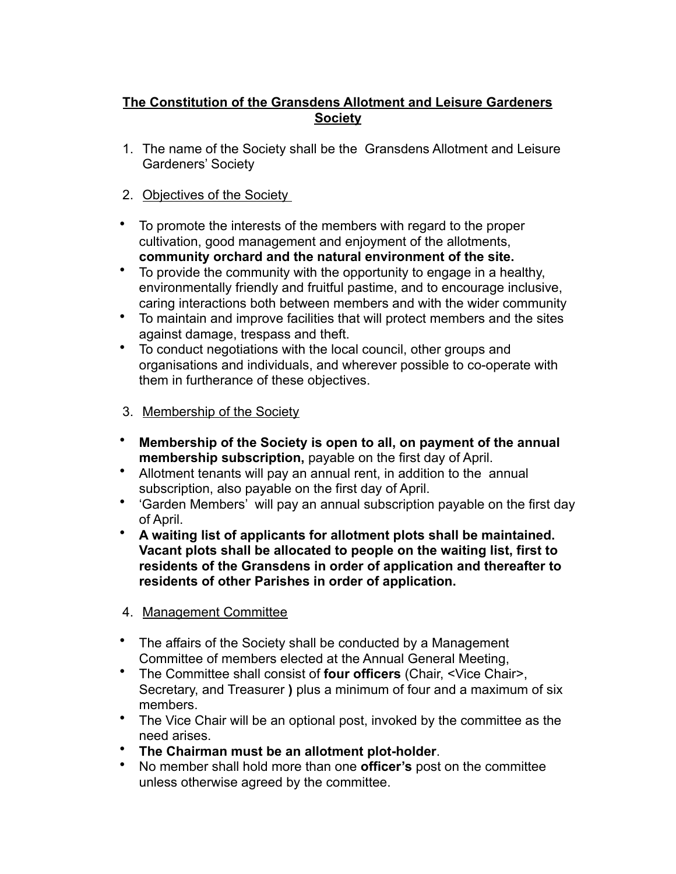## **The Constitution of the Gransdens Allotment and Leisure Gardeners Society**

- 1. The name of the Society shall be the Gransdens Allotment and Leisure Gardeners' Society
- 2. Objectives of the Society
- To promote the interests of the members with regard to the proper cultivation, good management and enjoyment of the allotments, **community orchard and the natural environment of the site.**
- To provide the community with the opportunity to engage in a healthy, environmentally friendly and fruitful pastime, and to encourage inclusive, caring interactions both between members and with the wider community
- To maintain and improve facilities that will protect members and the sites against damage, trespass and theft.
- To conduct negotiations with the local council, other groups and organisations and individuals, and wherever possible to co-operate with them in furtherance of these objectives.
- 3. Membership of the Society
- **Membership of the Society is open to all, on payment of the annual membership subscription,** payable on the first day of April.
- Allotment tenants will pay an annual rent, in addition to the annual subscription, also payable on the first day of April.
- 'Garden Members' will pay an annual subscription payable on the first day of April.
- **A waiting list of applicants for allotment plots shall be maintained. Vacant plots shall be allocated to people on the waiting list, first to residents of the Gransdens in order of application and thereafter to residents of other Parishes in order of application.**
- 4. Management Committee
- The affairs of the Society shall be conducted by a Management Committee of members elected at the Annual General Meeting,
- The Committee shall consist of **four officers** (Chair, <Vice Chair>, Secretary, and Treasurer **)** plus a minimum of four and a maximum of six members.
- The Vice Chair will be an optional post, invoked by the committee as the need arises.
- **The Chairman must be an allotment plot-holder**.
- No member shall hold more than one **officer's** post on the committee unless otherwise agreed by the committee.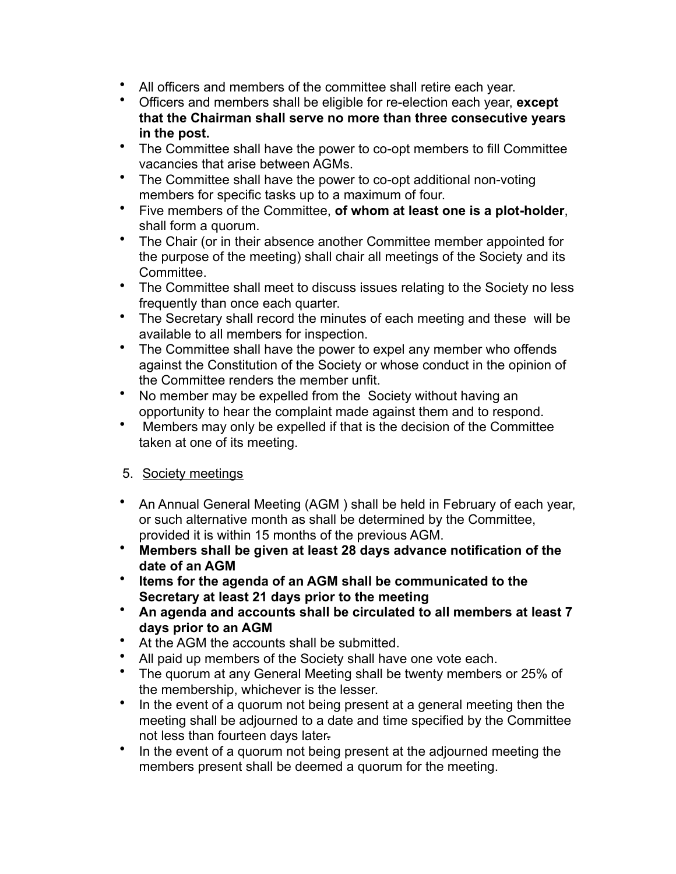- All officers and members of the committee shall retire each year.
- Officers and members shall be eligible for re-election each year, **except that the Chairman shall serve no more than three consecutive years in the post.**
- The Committee shall have the power to co-opt members to fill Committee vacancies that arise between AGMs.
- The Committee shall have the power to co-opt additional non-voting members for specific tasks up to a maximum of four.
- Five members of the Committee, **of whom at least one is a plot-holder**, shall form a quorum.
- The Chair (or in their absence another Committee member appointed for the purpose of the meeting) shall chair all meetings of the Society and its Committee.
- The Committee shall meet to discuss issues relating to the Society no less frequently than once each quarter.
- The Secretary shall record the minutes of each meeting and these will be available to all members for inspection.
- The Committee shall have the power to expel any member who offends against the Constitution of the Society or whose conduct in the opinion of the Committee renders the member unfit.
- No member may be expelled from the Society without having an opportunity to hear the complaint made against them and to respond.
- Members may only be expelled if that is the decision of the Committee taken at one of its meeting.

## 5. Society meetings

- An Annual General Meeting (AGM ) shall be held in February of each year, or such alternative month as shall be determined by the Committee, provided it is within 15 months of the previous AGM.
- **Members shall be given at least 28 days advance notification of the date of an AGM**
- **Items for the agenda of an AGM shall be communicated to the Secretary at least 21 days prior to the meeting**
- **An agenda and accounts shall be circulated to all members at least 7 days prior to an AGM**
- At the AGM the accounts shall be submitted.
- All paid up members of the Society shall have one vote each.
- The quorum at any General Meeting shall be twenty members or 25% of the membership, whichever is the lesser.
- In the event of a quorum not being present at a general meeting then the meeting shall be adjourned to a date and time specified by the Committee not less than fourteen days later.
- In the event of a quorum not being present at the adjourned meeting the members present shall be deemed a quorum for the meeting.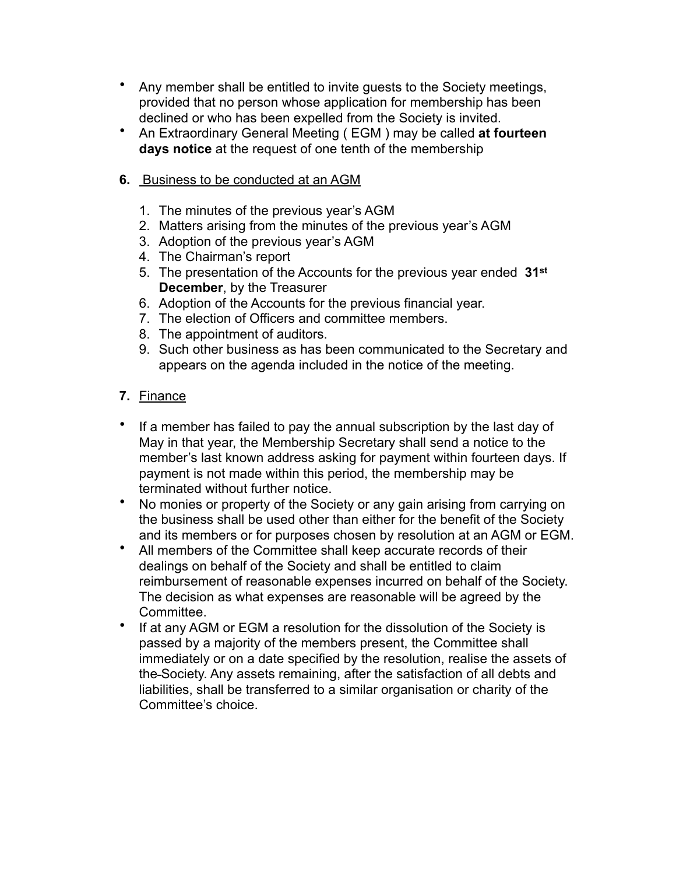- Any member shall be entitled to invite guests to the Society meetings, provided that no person whose application for membership has been declined or who has been expelled from the Society is invited.
- An Extraordinary General Meeting ( EGM ) may be called **at fourteen days notice** at the request of one tenth of the membership
- **6.** Business to be conducted at an AGM
	- 1. The minutes of the previous year's AGM
	- 2. Matters arising from the minutes of the previous year's AGM
	- 3. Adoption of the previous year's AGM
	- 4. The Chairman's report
	- 5. The presentation of the Accounts for the previous year ended **31st December**, by the Treasurer
	- 6. Adoption of the Accounts for the previous financial year.
	- 7. The election of Officers and committee members.
	- 8. The appointment of auditors.
	- 9. Such other business as has been communicated to the Secretary and appears on the agenda included in the notice of the meeting.
- **7.** Finance
- If a member has failed to pay the annual subscription by the last day of May in that year, the Membership Secretary shall send a notice to the member's last known address asking for payment within fourteen days. If payment is not made within this period, the membership may be terminated without further notice.
- No monies or property of the Society or any gain arising from carrying on the business shall be used other than either for the benefit of the Society and its members or for purposes chosen by resolution at an AGM or EGM.
- All members of the Committee shall keep accurate records of their dealings on behalf of the Society and shall be entitled to claim reimbursement of reasonable expenses incurred on behalf of the Society. The decision as what expenses are reasonable will be agreed by the Committee.
- If at any AGM or EGM a resolution for the dissolution of the Society is passed by a majority of the members present, the Committee shall immediately or on a date specified by the resolution, realise the assets of the Society. Any assets remaining, after the satisfaction of all debts and liabilities, shall be transferred to a similar organisation or charity of the Committee's choice.